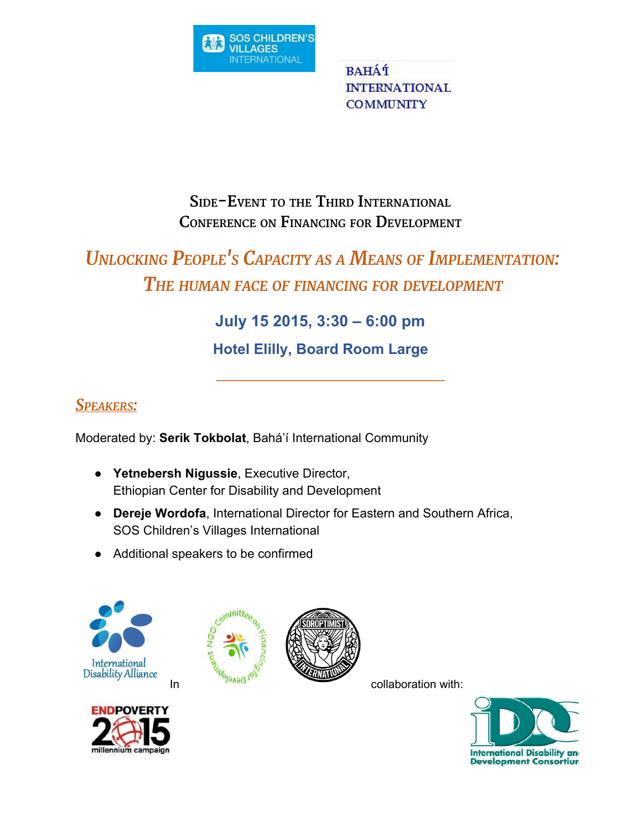

**BAHÁT INTERNATIONAL COMMUNITY** 

## **SIDE-EVENT TO THE THIRD INTERNATIONAL CONFERENCE ON FINANCING FOR DEVELOPMENT**

# *UNLOCKING PEOPLE'<sup>S</sup> CAPACITY AS <sup>A</sup> MEANS OF IMPLEMENTATION: THE HUMAN FACE OF FINANCING FOR DEVELOPMENT*

## **July 15 2015, 3:30 – 6:00 pm**

**Hotel Elilly, Board Room Large**

## *SPEAKERS:*

Moderated by: **Serik Tokbolat**, Bahá'í International Community

- **● Yetnebersh Nigussie**, Executive Director, Ethiopian Center for Disability and Development
- **● Dereje Wordofa**, International Director for Eastern and Southern Africa, SOS Children's Villages International
- Additional speakers to be confirmed









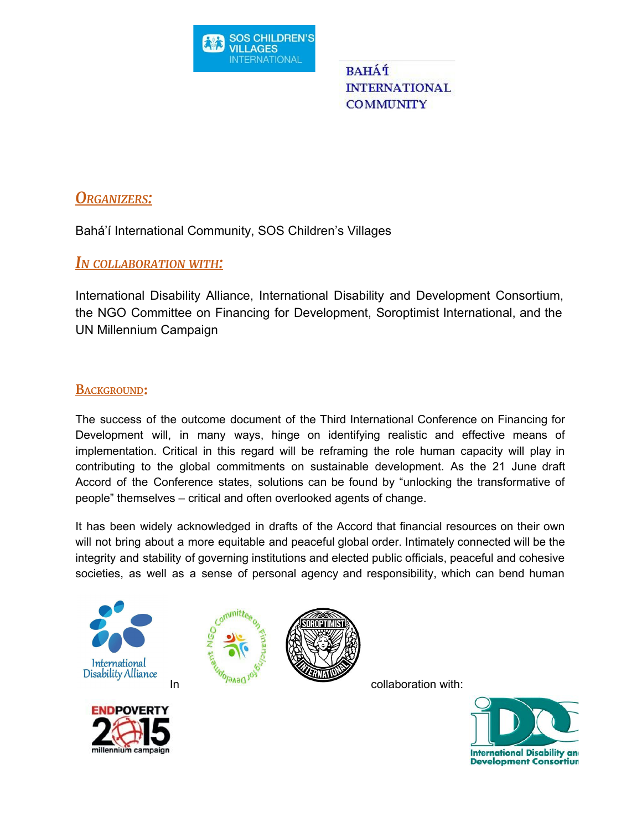

**BAHÁT INTERNATIONAL COMMUNITY** 

### *ORGANIZERS:*

Bahá'í International Community, SOS Children's Villages

#### *I<sup>N</sup> COLLABORATION WITH:*

International Disability Alliance, International Disability and Development Consortium, the NGO Committee on Financing for Development, Soroptimist International, and the UN Millennium Campaign

#### **BACKGROUND:**

The success of the outcome document of the Third International Conference on Financing for Development will, in many ways, hinge on identifying realistic and effective means of implementation. Critical in this regard will be reframing the role human capacity will play in contributing to the global commitments on sustainable development. As the 21 June draft Accord of the Conference states, solutions can be found by "unlocking the transformative of people" themselves – critical and often overlooked agents of change.

It has been widely acknowledged in drafts of the Accord that financial resources on their own will not bring about a more equitable and peaceful global order. Intimately connected will be the integrity and stability of governing institutions and elected public officials, peaceful and cohesive societies, as well as a sense of personal agency and responsibility, which can bend human